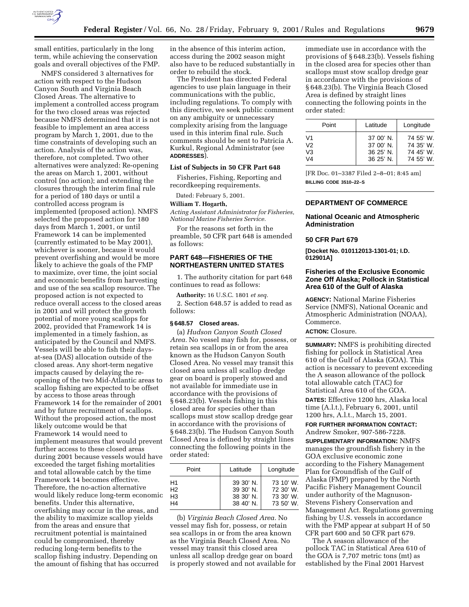

NMFS considered 3 alternatives for action with respect to the Hudson Canyon South and Virginia Beach Closed Areas. The alternative to implement a controlled access program for the two closed areas was rejected because NMFS determined that it is not feasible to implement an area access program by March 1, 2001, due to the time constraints of developing such an action. Analysis of the action was, therefore, not completed. Two other alternatives were analyzed: Re-opening the areas on March 1, 2001, without control (no action); and extending the closures through the interim final rule for a period of 180 days or until a controlled access program is implemented (proposed action). NMFS selected the proposed action for 180 days from March 1, 2001, or until Framework 14 can be implemented (currently estimated to be May 2001), whichever is sooner, because it would prevent overfishing and would be more likely to achieve the goals of the FMP to maximize, over time, the joint social and economic benefits from harvesting and use of the sea scallop resource. The proposed action is not expected to reduce overall access to the closed areas in 2001 and will protect the growth potential of more young scallops for 2002, provided that Framework 14 is implemented in a timely fashion, as anticipated by the Council and NMFS. Vessels will be able to fish their daysat-sea (DAS) allocation outside of the closed areas. Any short-term negative impacts caused by delaying the reopening of the two Mid-Atlantic areas to scallop fishing are expected to be offset by access to those areas through Framework 14 for the remainder of 2001 and by future recruitment of scallops. Without the proposed action, the most likely outcome would be that Framework 14 would need to implement measures that would prevent further access to these closed areas during 2001 because vessels would have exceeded the target fishing mortalities and total allowable catch by the time Framework 14 becomes effective. Therefore, the no-action alternative would likely reduce long-term economic benefits. Under this alternative, overfishing may occur in the areas, and the ability to maximize scallop yields from the areas and ensure that recruitment potential is maintained could be compromised, thereby reducing long-term benefits to the scallop fishing industry. Depending on the amount of fishing that has occurred

in the absence of this interim action, access during the 2002 season might also have to be reduced substantially in order to rebuild the stock.

The President has directed Federal agencies to use plain language in their communications with the public, including regulations. To comply with this directive, we seek public comment on any ambiguity or unnecessary complexity arising from the language used in this interim final rule. Such comments should be sent to Patricia A. Kurkul, Regional Administrator (see **ADDRESSES**).

## **List of Subjects in 50 CFR Part 648**

Fisheries, Fishing, Reporting and recordkeeping requirements.

Dated: February 5, 2001.

### **William T. Hogarth,**

*Acting Assistant Administrator for Fisheries, National Marine Fisheries Service.*

For the reasons set forth in the preamble, 50 CFR part 648 is amended as follows:

# **PART 648—FISHERIES OF THE NORTHEASTERN UNITED STATES**

1. The authority citation for part 648 continues to read as follows:

**Authority:** 16 U.S.C. 1801 *et seq.* 2. Section 648.57 is added to read as follows:

# **§ 648.57 Closed areas.**

(a) *Hudson Canyon South Closed Area.* No vessel may fish for, possess, or retain sea scallops in or from the area known as the Hudson Canyon South Closed Area. No vessel may transit this closed area unless all scallop dredge gear on board is properly stowed and not available for immediate use in accordance with the provisions of § 648.23(b). Vessels fishing in this closed area for species other than scallops must stow scallop dredge gear in accordance with the provisions of § 648.23(b). The Hudson Canyon South Closed Area is defined by straight lines connecting the following points in the order stated:

| Point          | Latitude  | Longitude |
|----------------|-----------|-----------|
| H1             | 39 30' N. | 73 10' W. |
| Н2             | 39 30' N. | 72 30' W. |
| H <sub>3</sub> | 38 30' N. | 73 30' W. |
| H4             | 38 40' N. | 73 50' W. |

(b) *Virginia Beach Closed Area.* No vessel may fish for, possess, or retain sea scallops in or from the area known as the Virginia Beach Closed Area. No vessel may transit this closed area unless all scallop dredge gear on board is properly stowed and not available for

immediate use in accordance with the provisions of § 648.23(b). Vessels fishing in the closed area for species other than scallops must stow scallop dredge gear in accordance with the provisions of § 648.23(b). The Virginia Beach Closed Area is defined by straight lines connecting the following points in the order stated:

| Point                                                                | Latitude                                         | Longitude                                        |
|----------------------------------------------------------------------|--------------------------------------------------|--------------------------------------------------|
| V <sub>1</sub><br>V <sub>2</sub><br>V <sub>3</sub><br>V <sub>4</sub> | 37 00' N.<br>37 00' N.<br>36 25' N.<br>36 25' N. | 74 55' W.<br>74 35' W.<br>74 45' W.<br>74 55' W. |
|                                                                      |                                                  |                                                  |

[FR Doc. 01–3387 Filed 2–8–01; 8:45 am] **BILLING CODE 3510–22–S**

# **DEPARTMENT OF COMMERCE**

### **National Oceanic and Atmospheric Administration**

### **50 CFR Part 679**

**[Docket No. 010112013-1301-01; I.D. 012901A]**

## **Fisheries of the Exclusive Economic Zone Off Alaska; Pollock in Statistical Area 610 of the Gulf of Alaska**

**AGENCY:** National Marine Fisheries Service (NMFS), National Oceanic and Atmospheric Administration (NOAA), Commerce.

# **ACTION:** Closure.

**SUMMARY:** NMFS is prohibiting directed fishing for pollock in Statistical Area 610 of the Gulf of Alaska (GOA). This action is necessary to prevent exceeding the A season allowance of the pollock total allowable catch (TAC) for Statistical Area 610 of the GOA.

**DATES:** Effective 1200 hrs, Alaska local time (A.l.t.), February 6, 2001, until 1200 hrs, A.l.t., March 15, 2001.

**FOR FURTHER INFORMATION CONTACT:** Andrew Smoker, 907-586-7228.

**SUPPLEMENTARY INFORMATION:** NMFS manages the groundfish fishery in the GOA exclusive economic zone according to the Fishery Management Plan for Groundfish of the Gulf of Alaska (FMP) prepared by the North Pacific Fishery Management Council under authority of the Magnuson-Stevens Fishery Conservation and Management Act. Regulations governing fishing by U.S. vessels in accordance with the FMP appear at subpart H of 50 CFR part 600 and 50 CFR part 679.

The A season allowance of the pollock TAC in Statistical Area 610 of the GOA is 7,707 metric tons (mt) as established by the Final 2001 Harvest